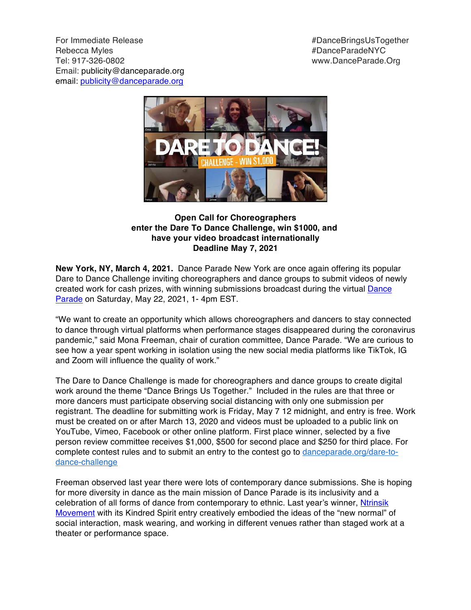For Immediate Release **#DanceBringsUsTogether** Rebecca Myles #DanceParadeNYC Tel: 917-326-0802 www.DanceParade.Org Email: publicity@danceparade.org email: publicity@danceparade.org



**Open Call for Choreographers enter the Dare To Dance Challenge, win \$1000, and have your video broadcast internationally Deadline May 7, 2021**

**New York, NY, March 4, 2021.** Dance Parade New York are once again offering its popular Dare to Dance Challenge inviting choreographers and dance groups to submit videos of newly created work for cash prizes, with winning submissions broadcast during the virtual Dance Parade on Saturday, May 22, 2021, 1- 4pm EST.

"We want to create an opportunity which allows choreographers and dancers to stay connected to dance through virtual platforms when performance stages disappeared during the coronavirus pandemic," said Mona Freeman, chair of curation committee, Dance Parade. "We are curious to see how a year spent working in isolation using the new social media platforms like TikTok, IG and Zoom will influence the quality of work."

The Dare to Dance Challenge is made for choreographers and dance groups to create digital work around the theme "Dance Brings Us Together." Included in the rules are that three or more dancers must participate observing social distancing with only one submission per registrant. The deadline for submitting work is Friday, May 7 12 midnight, and entry is free. Work must be created on or after March 13, 2020 and videos must be uploaded to a public link on YouTube, Vimeo, Facebook or other online platform. First place winner, selected by a five person review committee receives \$1,000, \$500 for second place and \$250 for third place. For complete contest rules and to submit an entry to the contest go to danceparade.org/dare-todance-challenge

Freeman observed last year there were lots of contemporary dance submissions. She is hoping for more diversity in dance as the main mission of Dance Parade is its inclusivity and a celebration of all forms of dance from contemporary to ethnic. Last year's winner, Ntrinsik Movement with its Kindred Spirit entry creatively embodied the ideas of the "new normal" of social interaction, mask wearing, and working in different venues rather than staged work at a theater or performance space.